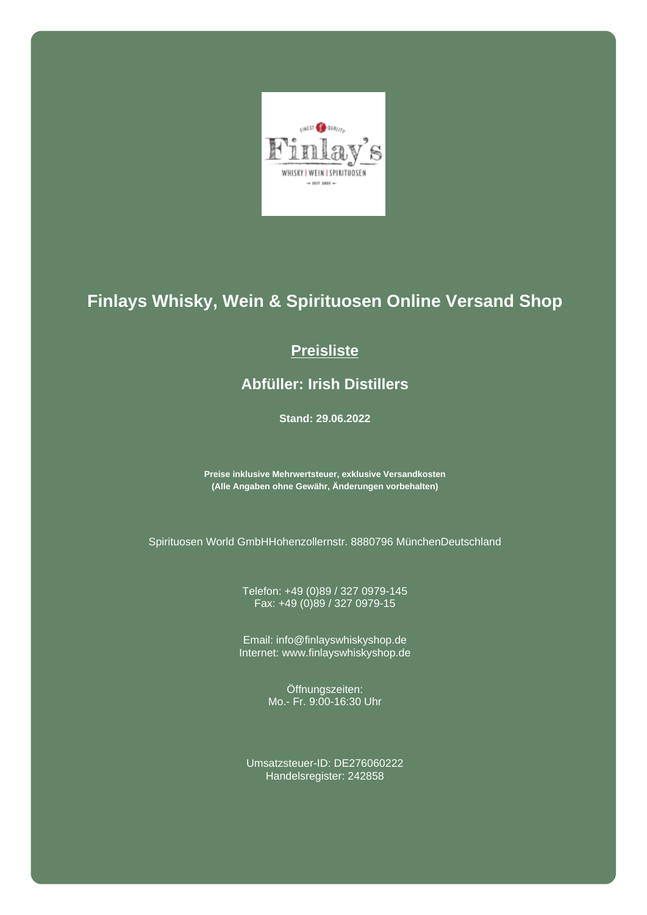

## **Finlays Whisky, Wein & Spirituosen Online Versand Shop**

## **Preisliste**

## **Abfüller: Irish Distillers**

**Stand: 29.06.2022**

**Preise inklusive Mehrwertsteuer, exklusive Versandkosten (Alle Angaben ohne Gewähr, Änderungen vorbehalten)**

Spirituosen World GmbHHohenzollernstr. 8880796 MünchenDeutschland

Telefon: +49 (0)89 / 327 0979-145 Fax: +49 (0)89 / 327 0979-15

Email: info@finlayswhiskyshop.de Internet: www.finlayswhiskyshop.de

> Öffnungszeiten: Mo.- Fr. 9:00-16:30 Uhr

Umsatzsteuer-ID: DE276060222 Handelsregister: 242858